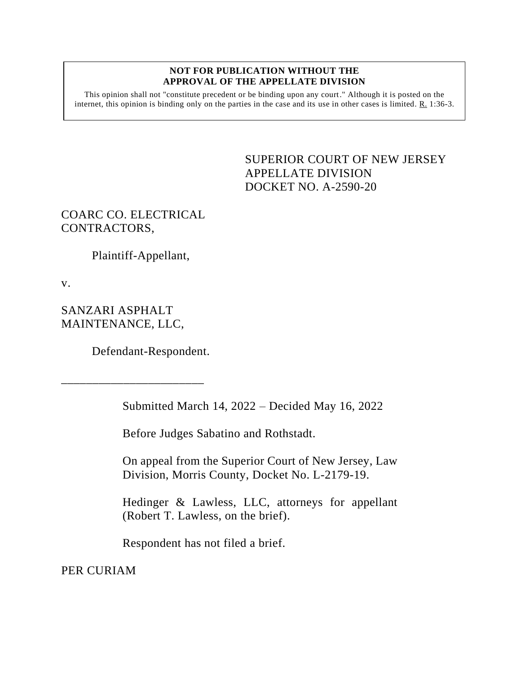## **NOT FOR PUBLICATION WITHOUT THE APPROVAL OF THE APPELLATE DIVISION**

This opinion shall not "constitute precedent or be binding upon any court." Although it is posted on the internet, this opinion is binding only on the parties in the case and its use in other cases is limited. R. 1:36-3.

> <span id="page-0-0"></span>SUPERIOR COURT OF NEW JERSEY APPELLATE DIVISION DOCKET NO. A-2590-20

COARC CO. ELECTRICAL CONTRACTORS,

Plaintiff-Appellant,

v.

SANZARI ASPHALT MAINTENANCE, LLC,

\_\_\_\_\_\_\_\_\_\_\_\_\_\_\_\_\_\_\_\_\_\_\_

Defendant-Respondent.

Submitted March 14, 2022 – Decided May 16, 2022

Before Judges Sabatino and Rothstadt.

On appeal from the Superior Court of New Jersey, Law Division, Morris County, Docket No. L-2179-19.

Hedinger & Lawless, LLC, attorneys for appellant (Robert T. Lawless, on the brief).

Respondent has not filed a brief.

PER CURIAM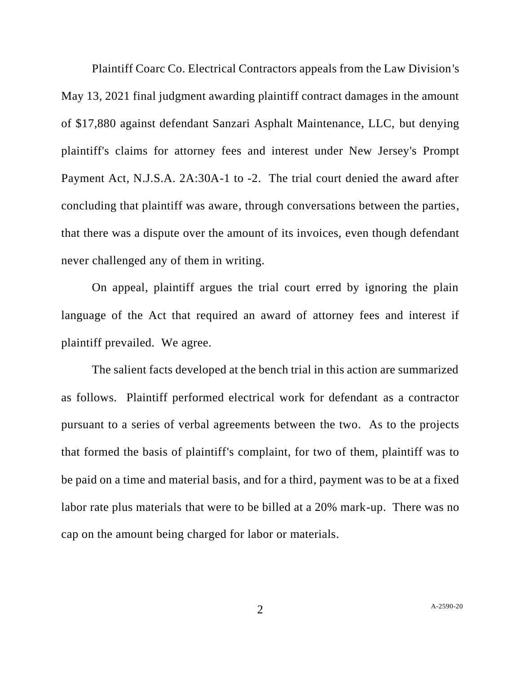Plaintiff Coarc Co. Electrical Contractors appeals from the Law Division's May 13, 2021 final judgment awarding plaintiff contract damages in the amount of \$17,880 against defendant Sanzari Asphalt Maintenance, LLC, but denying plaintiff's claims for attorney fees and interest under New Jersey's Prompt Payment Act, N.J.S.A. 2A:30A-1 to -2. The trial court denied the award after concluding that plaintiff was aware, through conversations between the parties, that there was a dispute over the amount of its invoices, even though defendant never challenged any of them in writing.

On appeal, plaintiff argues the trial court erred by ignoring the plain language of the Act that required an award of attorney fees and interest if plaintiff prevailed. We agree.

The salient facts developed at the bench trial in this action are summarized as follows. Plaintiff performed electrical work for defendant as a contractor pursuant to a series of verbal agreements between the two. As to the projects that formed the basis of plaintiff's complaint, for two of them, plaintiff was to be paid on a time and material basis, and for a third, payment was to be at a fixed labor rate plus materials that were to be billed at a 20% mark-up. There was no cap on the amount being charged for labor or materials.

2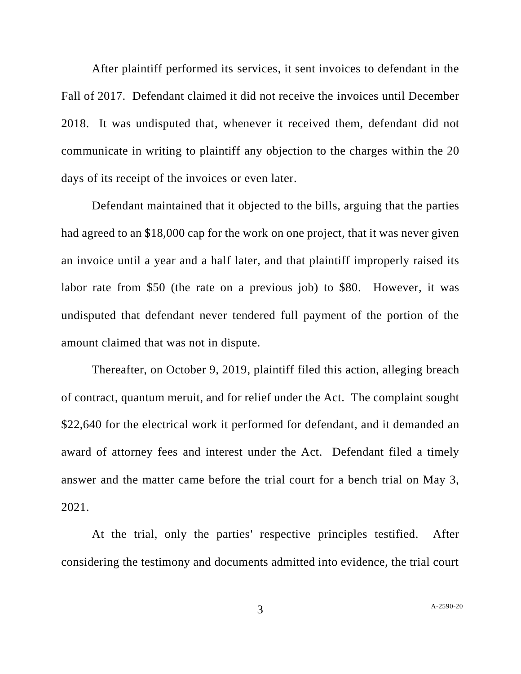After plaintiff performed its services, it sent invoices to defendant in the Fall of 2017. Defendant claimed it did not receive the invoices until December 2018. It was undisputed that, whenever it received them, defendant did not communicate in writing to plaintiff any objection to the charges within the 20 days of its receipt of the invoices or even later.

Defendant maintained that it objected to the bills, arguing that the parties had agreed to an \$18,000 cap for the work on one project, that it was never given an invoice until a year and a half later, and that plaintiff improperly raised its labor rate from \$50 (the rate on a previous job) to \$80. However, it was undisputed that defendant never tendered full payment of the portion of the amount claimed that was not in dispute.

Thereafter, on October 9, 2019, plaintiff filed this action, alleging breach of contract, quantum meruit, and for relief under the Act. The complaint sought \$22,640 for the electrical work it performed for defendant, and it demanded an award of attorney fees and interest under the Act. Defendant filed a timely answer and the matter came before the trial court for a bench trial on May 3, 2021.

At the trial, only the parties' respective principles testified. After considering the testimony and documents admitted into evidence, the trial court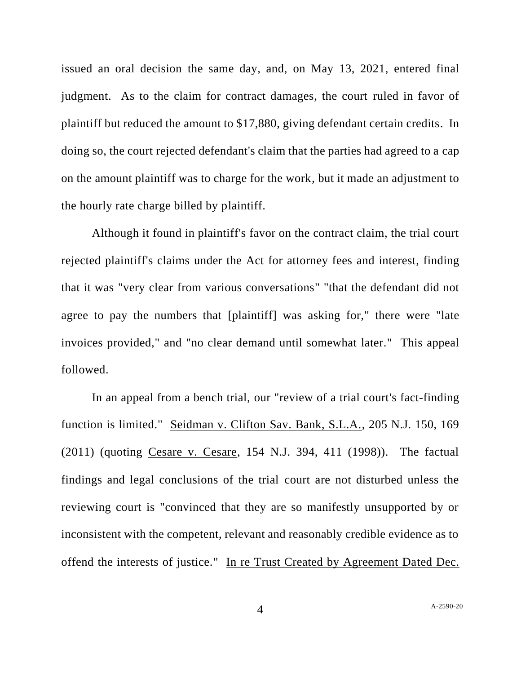issued an oral decision the same day, and, on May 13, 2021, entered final judgment. As to the claim for contract damages, the court ruled in favor of plaintiff but reduced the amount to \$17,880, giving defendant certain credits. In doing so, the court rejected defendant's claim that the parties had agreed to a cap on the amount plaintiff was to charge for the work, but it made an adjustment to the hourly rate charge billed by plaintiff.

Although it found in plaintiff's favor on the contract claim, the trial court rejected plaintiff's claims under the Act for attorney fees and interest, finding that it was "very clear from various conversations" "that the defendant did not agree to pay the numbers that [plaintiff] was asking for," there were "late invoices provided," and "no clear demand until somewhat later." This appeal followed.

In an appeal from a bench trial, our "review of a trial court's fact-finding function is limited." Seidman v. Clifton Sav. Bank, S.L.A., 205 N.J. 150, 169 (2011) (quoting Cesare v. Cesare, 154 N.J. 394, 411 (1998)). The factual findings and legal conclusions of the trial court are not disturbed unless the reviewing court is "convinced that they are so manifestly unsupported by or inconsistent with the competent, relevant and reasonably credible evidence as to offend the interests of justice." In re Trust Created by Agreement Dated Dec.

4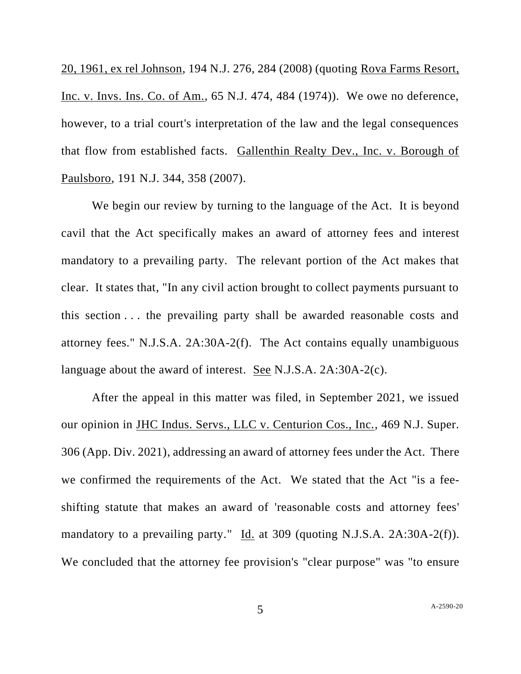20, 1961, ex rel Johnson, 194 N.J. 276, 284 (2008) (quoting Rova Farms Resort, Inc. v. Invs. Ins. Co. of Am., 65 N.J. 474, 484 (1974)). We owe no deference, however, to a trial court's interpretation of the law and the legal consequences that flow from established facts. Gallenthin Realty Dev., Inc. v. Borough of Paulsboro, 191 N.J. 344, 358 (2007).

We begin our review by turning to the language of the Act. It is beyond cavil that the Act specifically makes an award of attorney fees and interest mandatory to a prevailing party. The relevant portion of the Act makes that clear. It states that, "In any civil action brought to collect payments pursuant to this section . . . the prevailing party shall be awarded reasonable costs and attorney fees." N.J.S.A. 2A:30A-2(f). The Act contains equally unambiguous language about the award of interest. See N.J.S.A. 2A:30A-2(c).

After the appeal in this matter was filed, in September 2021, we issued our opinion in JHC Indus. Servs., LLC v. Centurion Cos., Inc., 469 N.J. Super. 306 (App. Div. 2021), addressing an award of attorney fees under the Act. There we confirmed the requirements of the Act. We stated that the Act "is a feeshifting statute that makes an award of 'reasonable costs and attorney fees' mandatory to a prevailing party." Id. at 309 (quoting N.J.S.A. 2A:30A-2(f)). We concluded that the attorney fee provision's "clear purpose" was "to ensure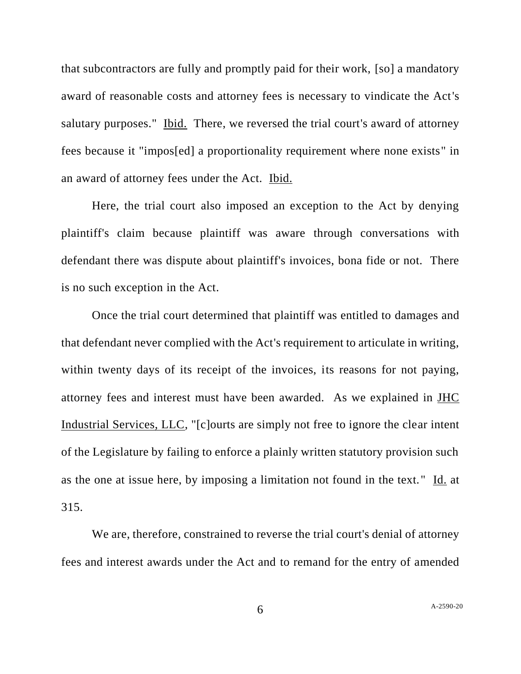that subcontractors are fully and promptly paid for their work, [so] a mandatory award of reasonable costs and attorney fees is necessary to vindicate the Act's salutary purposes." Ibid. There, we reversed the trial court's award of attorney fees because it "impos[ed] a proportionality requirement where none exists" in an award of attorney fees under the Act. Ibid.

Here, the trial court also imposed an exception to the Act by denying plaintiff's claim because plaintiff was aware through conversations with defendant there was dispute about plaintiff's invoices, bona fide or not. There is no such exception in the Act.

Once the trial court determined that plaintiff was entitled to damages and that defendant never complied with the Act's requirement to articulate in writing, within twenty days of its receipt of the invoices, its reasons for not paying, attorney fees and interest must have been awarded. As we explained in JHC Industrial Services, LLC, "[c]ourts are simply not free to ignore the clear intent of the Legislature by failing to enforce a plainly written statutory provision such as the one at issue here, by imposing a limitation not found in the text." Id. at 315.

We are, therefore, constrained to reverse the trial court's denial of attorney fees and interest awards under the Act and to remand for the entry of amended